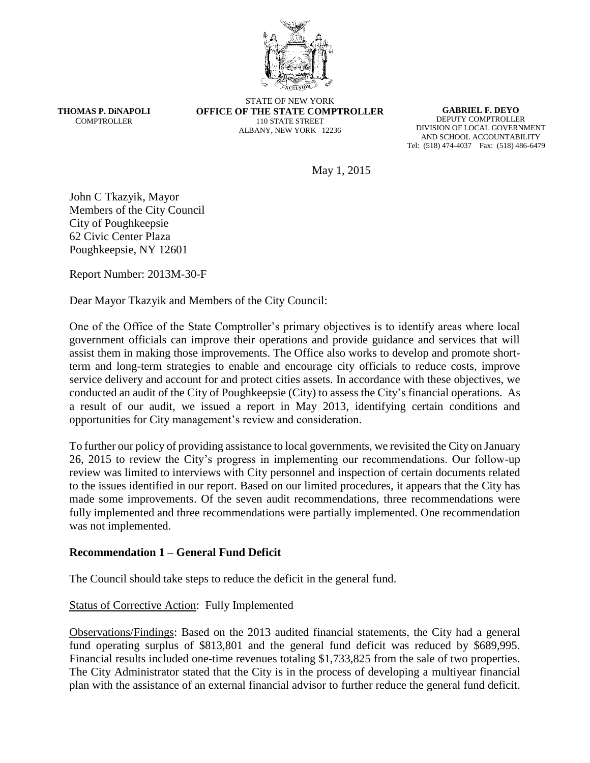

**THOMAS P. DiNAPOLI COMPTROLLER** 

STATE OF NEW YORK **OFFICE OF THE STATE COMPTROLLER** 110 STATE STREET ALBANY, NEW YORK 12236

**GABRIEL F. DEYO** DEPUTY COMPTROLLER DIVISION OF LOCAL GOVERNMENT AND SCHOOL ACCOUNTABILITY Tel: (518) 474-4037 Fax: (518) 486-6479

May 1, 2015

John C Tkazyik, Mayor Members of the City Council City of Poughkeepsie 62 Civic Center Plaza Poughkeepsie, NY 12601

Report Number: 2013M-30-F

Dear Mayor Tkazyik and Members of the City Council:

One of the Office of the State Comptroller's primary objectives is to identify areas where local government officials can improve their operations and provide guidance and services that will assist them in making those improvements. The Office also works to develop and promote shortterm and long-term strategies to enable and encourage city officials to reduce costs, improve service delivery and account for and protect cities assets. In accordance with these objectives, we conducted an audit of the City of Poughkeepsie (City) to assess the City's financial operations. As a result of our audit, we issued a report in May 2013, identifying certain conditions and opportunities for City management's review and consideration.

To further our policy of providing assistance to local governments, we revisited the City on January 26, 2015 to review the City's progress in implementing our recommendations. Our follow-up review was limited to interviews with City personnel and inspection of certain documents related to the issues identified in our report. Based on our limited procedures, it appears that the City has made some improvements. Of the seven audit recommendations, three recommendations were fully implemented and three recommendations were partially implemented. One recommendation was not implemented.

#### **Recommendation 1 – General Fund Deficit**

The Council should take steps to reduce the deficit in the general fund.

#### Status of Corrective Action: Fully Implemented

Observations/Findings: Based on the 2013 audited financial statements, the City had a general fund operating surplus of \$813,801 and the general fund deficit was reduced by \$689,995. Financial results included one-time revenues totaling \$1,733,825 from the sale of two properties. The City Administrator stated that the City is in the process of developing a multiyear financial plan with the assistance of an external financial advisor to further reduce the general fund deficit.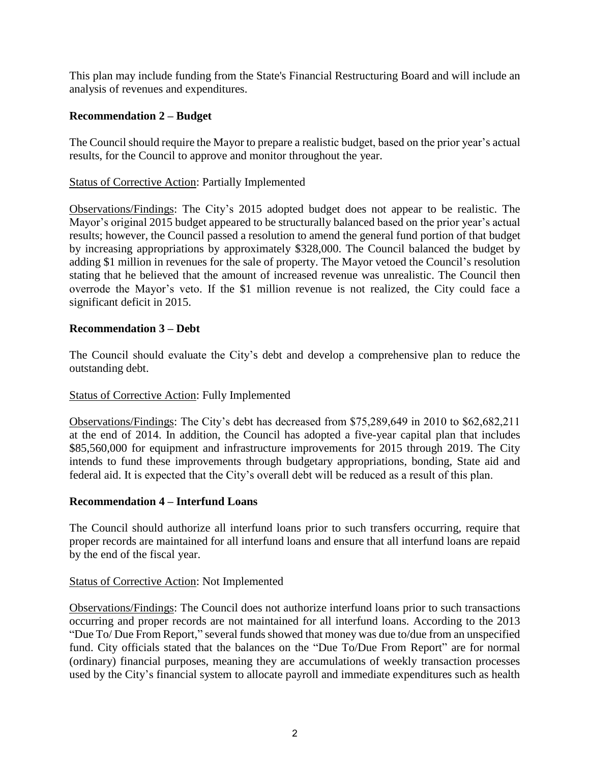This plan may include funding from the State's Financial Restructuring Board and will include an analysis of revenues and expenditures.

# **Recommendation 2 – Budget**

The Council should require the Mayor to prepare a realistic budget, based on the prior year's actual results, for the Council to approve and monitor throughout the year.

### Status of Corrective Action: Partially Implemented

Observations/Findings: The City's 2015 adopted budget does not appear to be realistic. The Mayor's original 2015 budget appeared to be structurally balanced based on the prior year's actual results; however, the Council passed a resolution to amend the general fund portion of that budget by increasing appropriations by approximately \$328,000. The Council balanced the budget by adding \$1 million in revenues for the sale of property. The Mayor vetoed the Council's resolution stating that he believed that the amount of increased revenue was unrealistic. The Council then overrode the Mayor's veto. If the \$1 million revenue is not realized, the City could face a significant deficit in 2015.

#### **Recommendation 3 – Debt**

The Council should evaluate the City's debt and develop a comprehensive plan to reduce the outstanding debt.

#### Status of Corrective Action: Fully Implemented

Observations/Findings: The City's debt has decreased from \$75,289,649 in 2010 to \$62,682,211 at the end of 2014. In addition, the Council has adopted a five-year capital plan that includes \$85,560,000 for equipment and infrastructure improvements for 2015 through 2019. The City intends to fund these improvements through budgetary appropriations, bonding, State aid and federal aid. It is expected that the City's overall debt will be reduced as a result of this plan.

#### **Recommendation 4 – Interfund Loans**

The Council should authorize all interfund loans prior to such transfers occurring, require that proper records are maintained for all interfund loans and ensure that all interfund loans are repaid by the end of the fiscal year.

#### Status of Corrective Action: Not Implemented

Observations/Findings: The Council does not authorize interfund loans prior to such transactions occurring and proper records are not maintained for all interfund loans. According to the 2013 "Due To/ Due From Report," several funds showed that money was due to/due from an unspecified fund. City officials stated that the balances on the "Due To/Due From Report" are for normal (ordinary) financial purposes, meaning they are accumulations of weekly transaction processes used by the City's financial system to allocate payroll and immediate expenditures such as health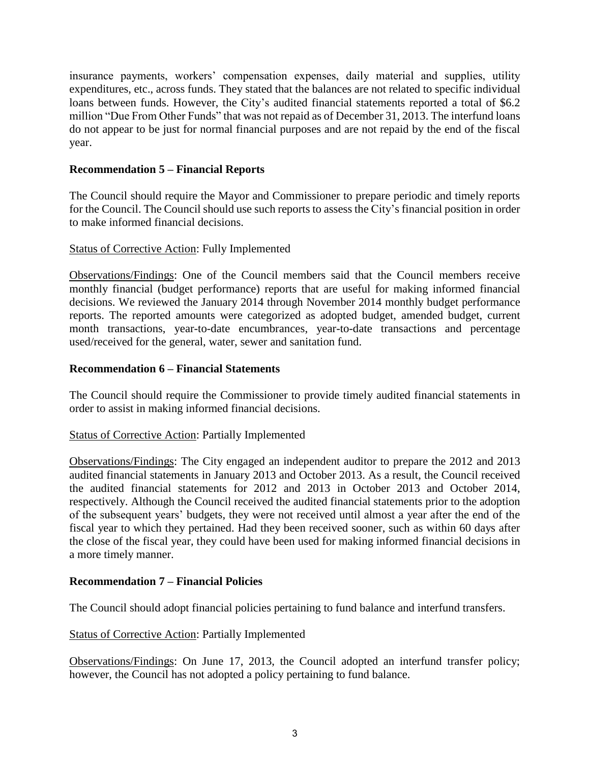insurance payments, workers' compensation expenses, daily material and supplies, utility expenditures, etc., across funds. They stated that the balances are not related to specific individual loans between funds. However, the City's audited financial statements reported a total of \$6.2 million "Due From Other Funds" that was not repaid as of December 31, 2013. The interfund loans do not appear to be just for normal financial purposes and are not repaid by the end of the fiscal year.

# **Recommendation 5 – Financial Reports**

The Council should require the Mayor and Commissioner to prepare periodic and timely reports for the Council. The Council should use such reports to assess the City's financial position in order to make informed financial decisions.

## Status of Corrective Action: Fully Implemented

Observations/Findings: One of the Council members said that the Council members receive monthly financial (budget performance) reports that are useful for making informed financial decisions. We reviewed the January 2014 through November 2014 monthly budget performance reports. The reported amounts were categorized as adopted budget, amended budget, current month transactions, year-to-date encumbrances, year-to-date transactions and percentage used/received for the general, water, sewer and sanitation fund.

## **Recommendation 6 – Financial Statements**

The Council should require the Commissioner to provide timely audited financial statements in order to assist in making informed financial decisions.

#### Status of Corrective Action: Partially Implemented

Observations/Findings: The City engaged an independent auditor to prepare the 2012 and 2013 audited financial statements in January 2013 and October 2013. As a result, the Council received the audited financial statements for 2012 and 2013 in October 2013 and October 2014, respectively. Although the Council received the audited financial statements prior to the adoption of the subsequent years' budgets, they were not received until almost a year after the end of the fiscal year to which they pertained. Had they been received sooner, such as within 60 days after the close of the fiscal year, they could have been used for making informed financial decisions in a more timely manner.

#### **Recommendation 7 – Financial Policies**

The Council should adopt financial policies pertaining to fund balance and interfund transfers.

#### Status of Corrective Action: Partially Implemented

Observations/Findings: On June 17, 2013, the Council adopted an interfund transfer policy; however, the Council has not adopted a policy pertaining to fund balance.